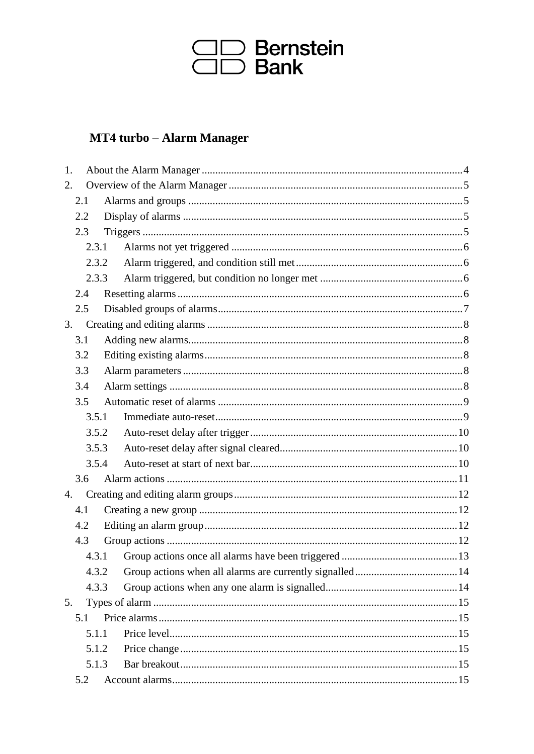

### MT4 turbo - Alarm Manager

| 1. |       |       |  |  |
|----|-------|-------|--|--|
| 2. |       |       |  |  |
|    | 2.1   |       |  |  |
|    | 2.2   |       |  |  |
|    | 2.3   |       |  |  |
|    | 2.3.1 |       |  |  |
|    | 2.3.2 |       |  |  |
|    | 2.3.3 |       |  |  |
|    | 2.4   |       |  |  |
|    | 2.5   |       |  |  |
| 3. |       |       |  |  |
|    | 3.1   |       |  |  |
|    | 3.2   |       |  |  |
|    | 3.3   |       |  |  |
|    | 3.4   |       |  |  |
|    | 3.5   |       |  |  |
|    | 3.5.1 |       |  |  |
|    | 3.5.2 |       |  |  |
|    | 3.5.3 |       |  |  |
|    | 3.5.4 |       |  |  |
|    | 3.6   |       |  |  |
| 4. |       |       |  |  |
|    | 4.1   |       |  |  |
|    | 4.2   |       |  |  |
|    | 4.3   |       |  |  |
|    |       | 4.3.1 |  |  |
|    | 4.3.2 |       |  |  |
|    | 4.3.3 |       |  |  |
| 5. |       |       |  |  |
|    | 5.1   |       |  |  |
|    | 5.1.1 |       |  |  |
|    | 5.1.2 |       |  |  |
|    | 5.1.3 |       |  |  |
|    | 5.2   |       |  |  |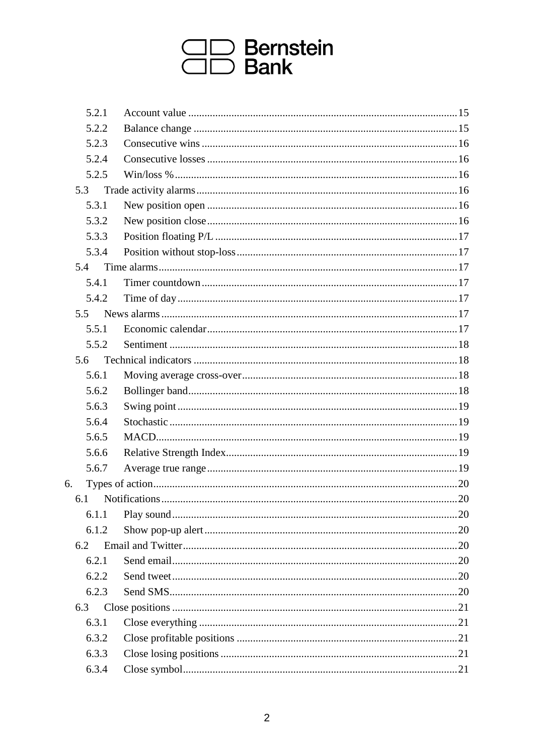# **CD** Bernstein<br>CD Bank

| 5.2.1 |  |
|-------|--|
| 5.2.2 |  |
| 5.2.3 |  |
| 5.2.4 |  |
| 5.2.5 |  |
| 5.3   |  |
| 5.3.1 |  |
| 5.3.2 |  |
| 5.3.3 |  |
| 5.3.4 |  |
| 5.4   |  |
| 5.4.1 |  |
| 5.4.2 |  |
| 5.5   |  |
| 5.5.1 |  |
| 5.5.2 |  |
| 5.6   |  |
| 5.6.1 |  |
| 5.6.2 |  |
| 5.6.3 |  |
| 5.6.4 |  |
| 5.6.5 |  |
| 5.6.6 |  |
| 5.6.7 |  |
| 6.    |  |
| 6.1   |  |
| 6.1.1 |  |
| 6.1.2 |  |
| 6.2   |  |
| 6.2.1 |  |
| 6.2.2 |  |
| 6.2.3 |  |
| 6.3   |  |
| 6.3.1 |  |
| 6.3.2 |  |
| 6.3.3 |  |
| 6.3.4 |  |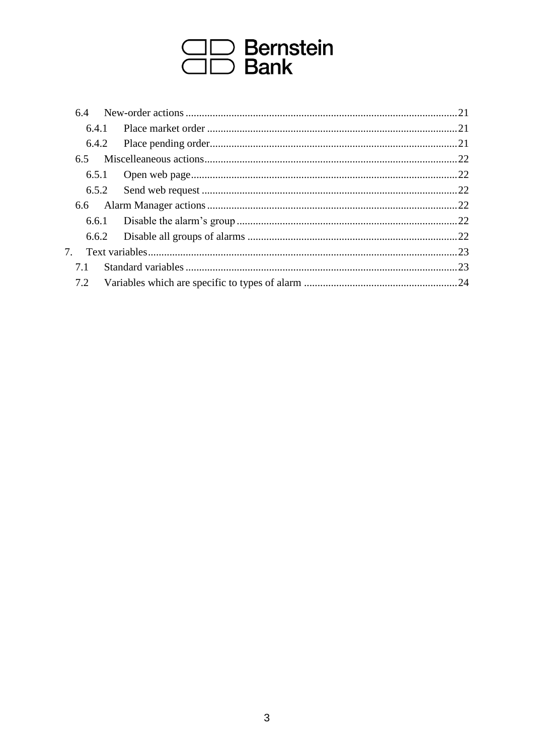# **CD** Bernstein<br>CD Bank

| 6.4                              |  |  |
|----------------------------------|--|--|
| 6.4.1                            |  |  |
| 6.4.2                            |  |  |
| 6.5                              |  |  |
|                                  |  |  |
|                                  |  |  |
|                                  |  |  |
|                                  |  |  |
| 6.6.2                            |  |  |
| $7_{\scriptscriptstyle{\ddots}}$ |  |  |
| 7.1                              |  |  |
| 7.2                              |  |  |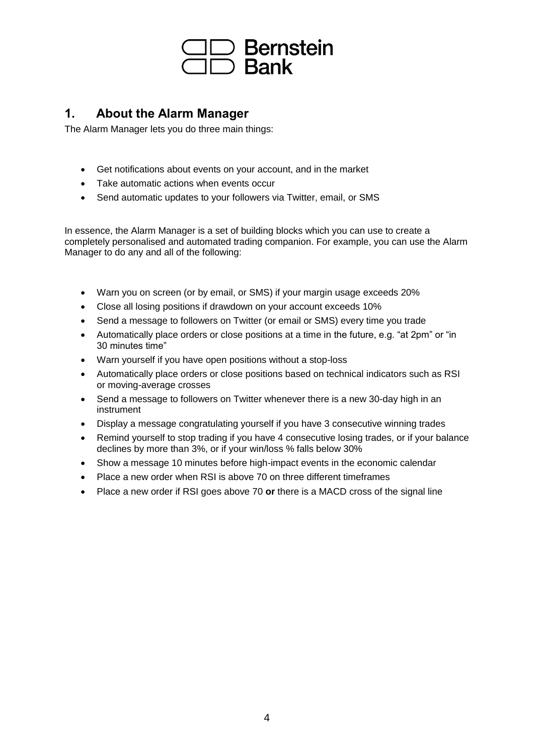

#### <span id="page-3-0"></span>**1. About the Alarm Manager**

The Alarm Manager lets you do three main things:

- Get notifications about events on your account, and in the market
- Take automatic actions when events occur
- Send automatic updates to your followers via Twitter, email, or SMS

In essence, the Alarm Manager is a set of building blocks which you can use to create a completely personalised and automated trading companion. For example, you can use the Alarm Manager to do any and all of the following:

- Warn you on screen (or by email, or SMS) if your margin usage exceeds 20%
- Close all losing positions if drawdown on your account exceeds 10%
- Send a message to followers on Twitter (or email or SMS) every time you trade
- Automatically place orders or close positions at a time in the future, e.g. "at 2pm" or "in 30 minutes time"
- Warn yourself if you have open positions without a stop-loss
- Automatically place orders or close positions based on technical indicators such as RSI or moving-average crosses
- Send a message to followers on Twitter whenever there is a new 30-day high in an instrument
- Display a message congratulating yourself if you have 3 consecutive winning trades
- Remind yourself to stop trading if you have 4 consecutive losing trades, or if your balance declines by more than 3%, or if your win/loss % falls below 30%
- Show a message 10 minutes before high-impact events in the economic calendar
- Place a new order when RSI is above 70 on three different timeframes
- Place a new order if RSI goes above 70 **or** there is a MACD cross of the signal line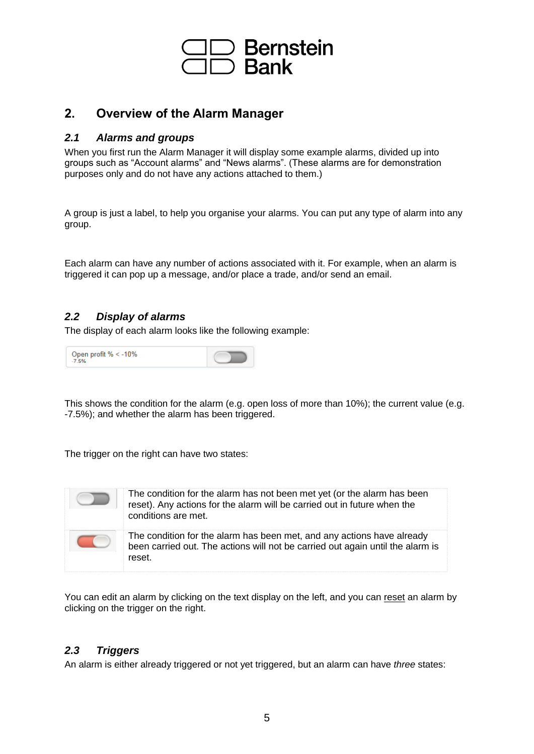

#### <span id="page-4-0"></span>**2. Overview of the Alarm Manager**

#### <span id="page-4-1"></span>*2.1 Alarms and groups*

When you first run the Alarm Manager it will display some example alarms, divided up into groups such as "Account alarms" and "News alarms". (These alarms are for demonstration purposes only and do not have any actions attached to them.)

A group is just a label, to help you organise your alarms. You can put any type of alarm into any group.

Each alarm can have any number of actions associated with it. For example, when an alarm is triggered it can pop up a message, and/or place a trade, and/or send an email.

#### <span id="page-4-2"></span>*2.2 Display of alarms*

The display of each alarm looks like the following example:

Open profit % 
$$
< -10\%
$$

This shows the condition for the alarm (e.g. open loss of more than 10%); the current value (e.g. -7.5%); and whether the alarm has been triggered.

The trigger on the right can have two states:



You can edit an alarm by clicking on the text display on the left, and you can [reset](#page-5-3) an alarm by clicking on the trigger on the right.

#### <span id="page-4-3"></span>*2.3 Triggers*

An alarm is either already triggered or not yet triggered, but an alarm can have *three* states: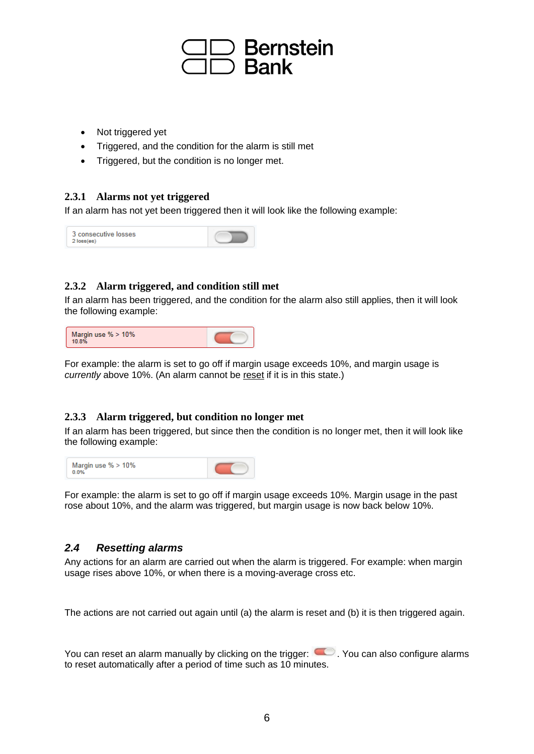

- Not triggered yet
- Triggered, and the condition for the alarm is still met
- Triggered, but the condition is no longer met.

#### <span id="page-5-0"></span>**2.3.1 Alarms not yet triggered**

If an alarm has not yet been triggered then it will look like the following example:



#### <span id="page-5-1"></span>**2.3.2 Alarm triggered, and condition still met**

If an alarm has been triggered, and the condition for the alarm also still applies, then it will look the following example:



For example: the alarm is set to go off if margin usage exceeds 10%, and margin usage is *currently* above 10%. (An alarm cannot be [reset](#page-5-3) if it is in this state.)

#### <span id="page-5-2"></span>**2.3.3 Alarm triggered, but condition no longer met**

If an alarm has been triggered, but since then the condition is no longer met, then it will look like the following example:



For example: the alarm is set to go off if margin usage exceeds 10%. Margin usage in the past rose about 10%, and the alarm was triggered, but margin usage is now back below 10%.

#### <span id="page-5-3"></span>*2.4 Resetting alarms*

Any actions for an alarm are carried out when the alarm is triggered. For example: when margin usage rises above 10%, or when there is a moving-average cross etc.

The actions are not carried out again until (a) the alarm is reset and (b) it is then triggered again.

You can reset an alarm manually by clicking on the trigger:  $\Box$  You can also configure alarms to reset automatically after a period of time such as 10 minutes.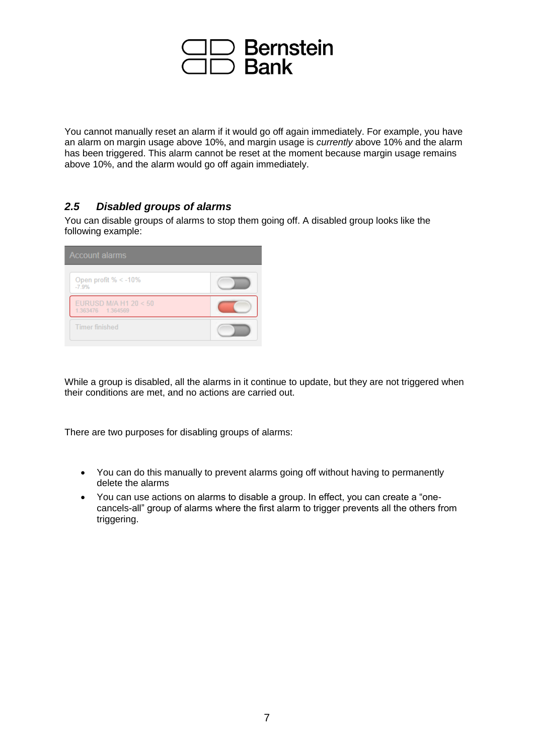

You cannot manually reset an alarm if it would go off again immediately. For example, you have an alarm on margin usage above 10%, and margin usage is *currently* above 10% and the alarm has been triggered. This alarm cannot be reset at the moment because margin usage remains above 10%, and the alarm would go off again immediately.

#### <span id="page-6-0"></span>*2.5 Disabled groups of alarms*

You can disable groups of alarms to stop them going off. A disabled group looks like the following example:

| <b>Account alarms</b>                       |  |  |  |
|---------------------------------------------|--|--|--|
| Open profit % $<$ -10%<br>$-7.9%$           |  |  |  |
| EURUSD M/A H1 20 < 50<br>1.363476  1.364569 |  |  |  |
| <b>Timer finished</b>                       |  |  |  |

While a group is disabled, all the alarms in it continue to update, but they are not triggered when their conditions are met, and no actions are carried out.

There are two purposes for disabling groups of alarms:

- You can do this manually to prevent alarms going off without having to permanently delete the alarms
- You can use actions on alarms to disable a group. In effect, you can create a "onecancels-all" group of alarms where the first alarm to trigger prevents all the others from triggering.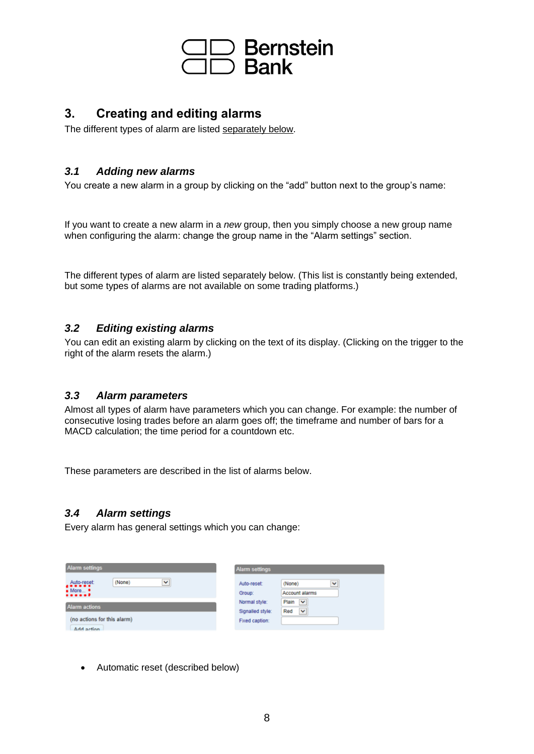

#### <span id="page-7-0"></span>**3. Creating and editing alarms**

The different types of alarm are listed [separately below.](#page-14-0)

#### <span id="page-7-1"></span>*3.1 Adding new alarms*

You create a new alarm in a group by clicking on the "add" button next to the group's name:

If you want to create a new alarm in a *new* group, then you simply choose a new group name when configuring the alarm: change the group name in the "Alarm settings" section.

The different types of alarm are listed separately below. (This list is constantly being extended, but some types of alarms are not available on some trading platforms.)

#### <span id="page-7-2"></span>*3.2 Editing existing alarms*

You can edit an existing alarm by clicking on the text of its display. (Clicking on the trigger to the right of the alarm resets the alarm.)

#### <span id="page-7-3"></span>*3.3 Alarm parameters*

Almost all types of alarm have parameters which you can change. For example: the number of consecutive losing trades before an alarm goes off; the timeframe and number of bars for a MACD calculation; the time period for a countdown etc.

These parameters are described in the list of alarms below.

#### <span id="page-7-4"></span>*3.4 Alarm settings*

Every alarm has general settings which you can change:

| Alarm settings                                             | <b>Alarm settings</b>                                                    |  |  |
|------------------------------------------------------------|--------------------------------------------------------------------------|--|--|
| v<br>(None)<br>Auto-reset:<br>$\bullet$ More $\bullet$<br> | (None)<br>$\checkmark$<br>Auto-reset:<br><b>Account alarms</b><br>Group: |  |  |
| <b>Alarm actions</b>                                       | Plain<br>$\checkmark$<br>Normal style:                                   |  |  |
| (no actions for this alarm)<br>Add action                  | Red<br>$\check{}$<br>Signalled style:<br>Fixed caption:                  |  |  |

• Automatic reset (described below)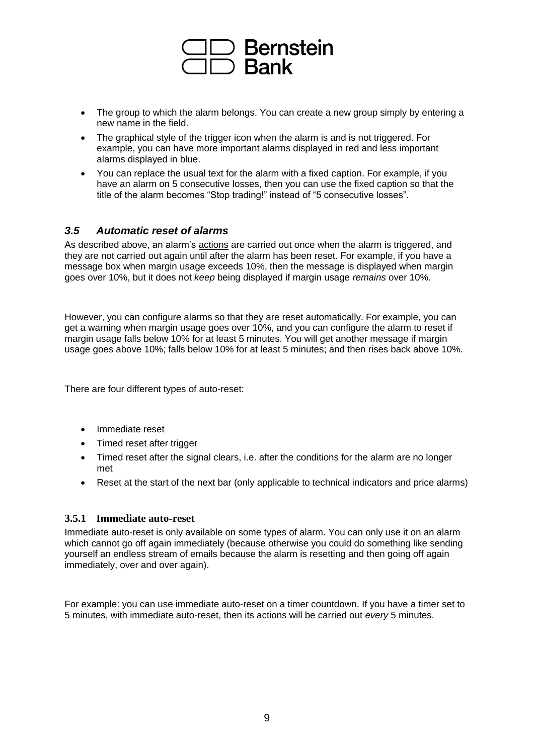

- The group to which the alarm belongs. You can create a new group simply by entering a new name in the field.
- The graphical style of the trigger icon when the alarm is and is not triggered. For example, you can have more important alarms displayed in red and less important alarms displayed in blue.
- You can replace the usual text for the alarm with a fixed caption. For example, if you have an alarm on 5 consecutive losses, then you can use the fixed caption so that the title of the alarm becomes "Stop trading!" instead of "5 consecutive losses".

#### <span id="page-8-0"></span>*3.5 Automatic reset of alarms*

As described above, an alarm's [actions](#page-10-0) are carried out once when the alarm is triggered, and they are not carried out again until after the alarm has been reset. For example, if you have a message box when margin usage exceeds 10%, then the message is displayed when margin goes over 10%, but it does not *keep* being displayed if margin usage *remains* over 10%.

However, you can configure alarms so that they are reset automatically. For example, you can get a warning when margin usage goes over 10%, and you can configure the alarm to reset if margin usage falls below 10% for at least 5 minutes. You will get another message if margin usage goes above 10%; falls below 10% for at least 5 minutes; and then rises back above 10%.

There are four different types of auto-reset:

- Immediate reset
- Timed reset after trigger
- Timed reset after the signal clears, i.e. after the conditions for the alarm are no longer met
- Reset at the start of the next bar (only applicable to technical indicators and price alarms)

#### <span id="page-8-1"></span>**3.5.1 Immediate auto-reset**

Immediate auto-reset is only available on some types of alarm. You can only use it on an alarm which cannot go off again immediately (because otherwise you could do something like sending yourself an endless stream of emails because the alarm is resetting and then going off again immediately, over and over again).

For example: you can use immediate auto-reset on a timer countdown. If you have a timer set to 5 minutes, with immediate auto-reset, then its actions will be carried out *every* 5 minutes.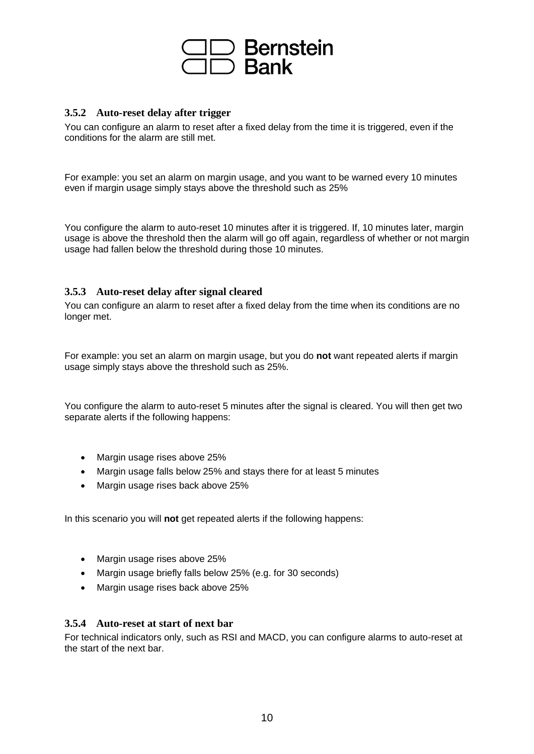## )Bernstein<br>)Bank

#### <span id="page-9-0"></span>**3.5.2 Auto-reset delay after trigger**

You can configure an alarm to reset after a fixed delay from the time it is triggered, even if the conditions for the alarm are still met.

For example: you set an alarm on margin usage, and you want to be warned every 10 minutes even if margin usage simply stays above the threshold such as 25%

You configure the alarm to auto-reset 10 minutes after it is triggered. If, 10 minutes later, margin usage is above the threshold then the alarm will go off again, regardless of whether or not margin usage had fallen below the threshold during those 10 minutes.

#### <span id="page-9-1"></span>**3.5.3 Auto-reset delay after signal cleared**

You can configure an alarm to reset after a fixed delay from the time when its conditions are no longer met.

For example: you set an alarm on margin usage, but you do **not** want repeated alerts if margin usage simply stays above the threshold such as 25%.

You configure the alarm to auto-reset 5 minutes after the signal is cleared. You will then get two separate alerts if the following happens:

- Margin usage rises above 25%
- Margin usage falls below 25% and stays there for at least 5 minutes
- Margin usage rises back above 25%

In this scenario you will **not** get repeated alerts if the following happens:

- Margin usage rises above 25%
- Margin usage briefly falls below 25% (e.g. for 30 seconds)
- Margin usage rises back above 25%

#### <span id="page-9-2"></span>**3.5.4 Auto-reset at start of next bar**

For technical indicators only, such as RSI and MACD, you can configure alarms to auto-reset at the start of the next bar.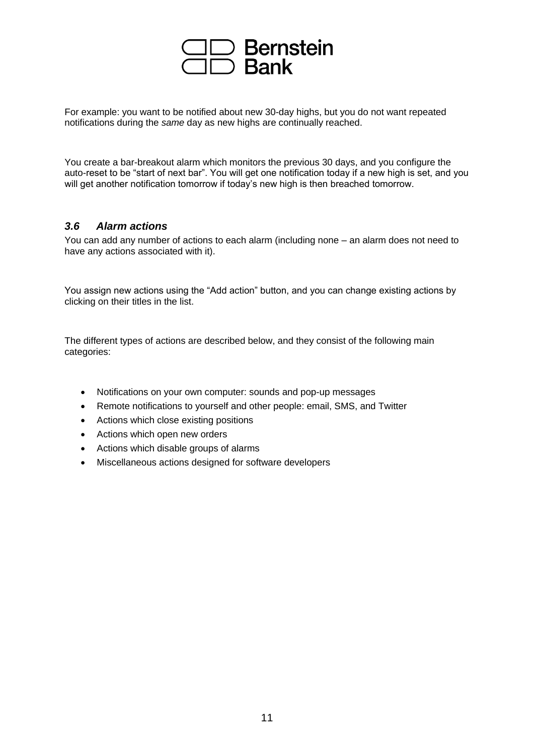## Bernstein<br>Bank

For example: you want to be notified about new 30-day highs, but you do not want repeated notifications during the *same* day as new highs are continually reached.

You create a bar-breakout alarm which monitors the previous 30 days, and you configure the auto-reset to be "start of next bar". You will get one notification today if a new high is set, and you will get another notification tomorrow if today's new high is then breached tomorrow.

#### <span id="page-10-0"></span>*3.6 Alarm actions*

You can add any number of actions to each alarm (including none – an alarm does not need to have any actions associated with it).

You assign new actions using the "Add action" button, and you can change existing actions by clicking on their titles in the list.

The different types of actions are described below, and they consist of the following main categories:

- Notifications on your own computer: sounds and pop-up messages
- Remote notifications to yourself and other people: email, SMS, and Twitter
- Actions which close existing positions
- Actions which open new orders
- Actions which disable groups of alarms
- Miscellaneous actions designed for software developers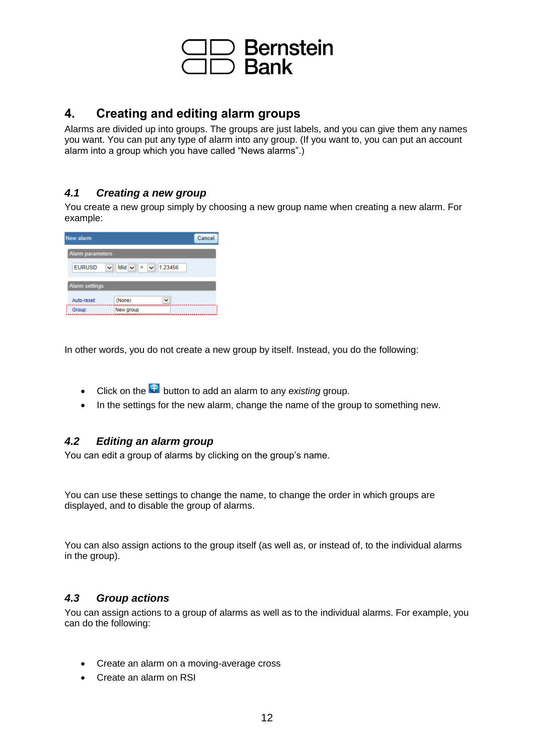

#### <span id="page-11-0"></span>**4. Creating and editing alarm groups**

Alarms are divided up into groups. The groups are just labels, and you can give them any names you want. You can put any type of alarm into any group. (If you want to, you can put an account alarm into a group which you have called "News alarms".)

#### <span id="page-11-1"></span>*4.1 Creating a new group*

You create a new group simply by choosing a new group name when creating a new alarm. For example:

| New alarm<br>Cancel                                 |           |  |  |  |  |
|-----------------------------------------------------|-----------|--|--|--|--|
| <b>Alarm parameters</b>                             |           |  |  |  |  |
| $\vee$ Mid $\vee$ = $\vee$ 1.23456<br><b>EURUSD</b> |           |  |  |  |  |
| <b>Alarm settings</b>                               |           |  |  |  |  |
| Auto-reset:                                         | (None)    |  |  |  |  |
| Group:                                              | New group |  |  |  |  |

In other words, you do not create a new group by itself. Instead, you do the following:

- Click on the **B** button to add an alarm to any *existing* group.
- In the settings for the new alarm, change the name of the group to something new.

#### <span id="page-11-2"></span>*4.2 Editing an alarm group*

You can edit a group of alarms by clicking on the group's name.

You can use these settings to change the name, to change the order in which groups are displayed, and to disable the group of alarms.

You can also assign actions to the group itself (as well as, or instead of, to the individual alarms in the group).

#### <span id="page-11-3"></span>*4.3 Group actions*

You can assign actions to a group of alarms as well as to the individual alarms. For example, you can do the following:

- Create an alarm on a moving-average cross
- Create an alarm on RSI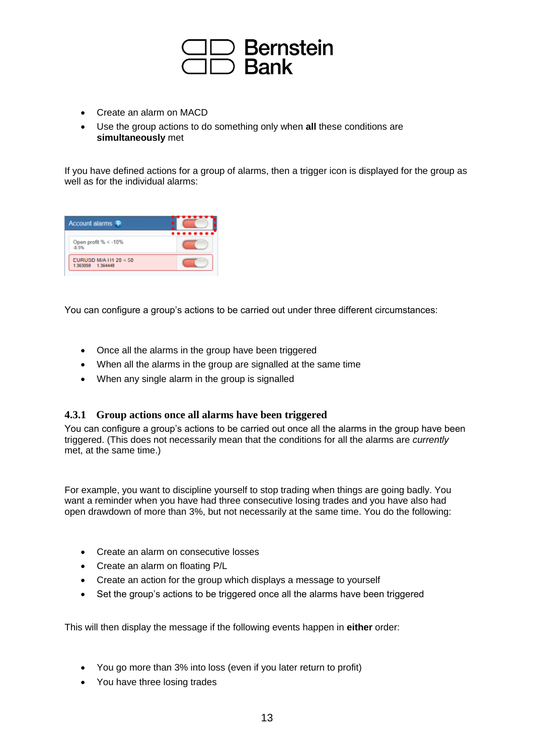

- Create an alarm on MACD
- Use the group actions to do something only when **all** these conditions are **simultaneously** met

If you have defined actions for a group of alarms, then a trigger icon is displayed for the group as well as for the individual alarms:

| Account alarms $\bigoplus$                 | . |
|--------------------------------------------|---|
| Open profit % < -10%<br>$-8.5%$            |   |
| EURUSD M/A H1 20 < 50<br>1.363059 1.364449 |   |

You can configure a group's actions to be carried out under three different circumstances:

- Once all the alarms in the group have been triggered
- When all the alarms in the group are signalled at the same time
- When any single alarm in the group is signalled

#### <span id="page-12-0"></span>**4.3.1 Group actions once all alarms have been triggered**

You can configure a group's actions to be carried out once all the alarms in the group have been triggered. (This does not necessarily mean that the conditions for all the alarms are *currently* met, at the same time.)

For example, you want to discipline yourself to stop trading when things are going badly. You want a reminder when you have had three consecutive losing trades and you have also had open drawdown of more than 3%, but not necessarily at the same time. You do the following:

- Create an alarm on consecutive losses
- Create an alarm on floating P/L
- Create an action for the group which displays a message to yourself
- Set the group's actions to be triggered once all the alarms have been triggered

This will then display the message if the following events happen in **either** order:

- You go more than 3% into loss (even if you later return to profit)
- You have three losing trades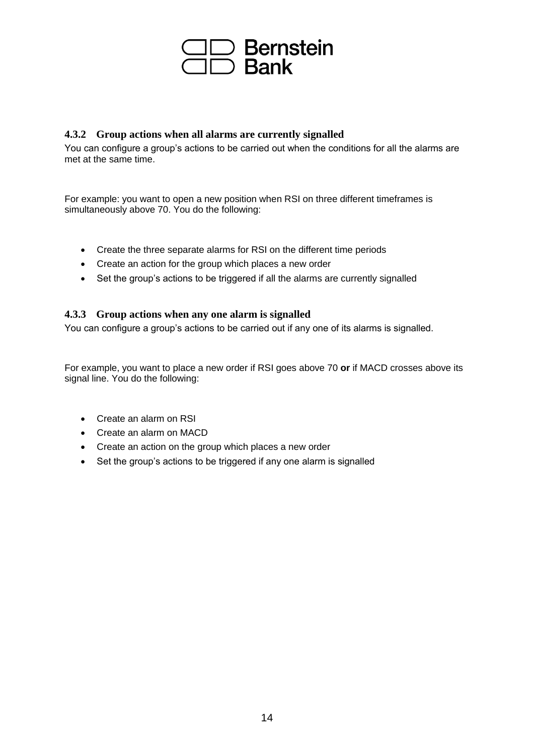

#### <span id="page-13-0"></span>**4.3.2 Group actions when all alarms are currently signalled**

You can configure a group's actions to be carried out when the conditions for all the alarms are met at the same time.

For example: you want to open a new position when RSI on three different timeframes is simultaneously above 70. You do the following:

- Create the three separate alarms for RSI on the different time periods
- Create an action for the group which places a new order
- Set the group's actions to be triggered if all the alarms are currently signalled

#### <span id="page-13-1"></span>**4.3.3 Group actions when any one alarm is signalled**

You can configure a group's actions to be carried out if any one of its alarms is signalled.

For example, you want to place a new order if RSI goes above 70 **or** if MACD crosses above its signal line. You do the following:

- Create an alarm on RSI
- Create an alarm on MACD
- Create an action on the group which places a new order
- Set the group's actions to be triggered if any one alarm is signalled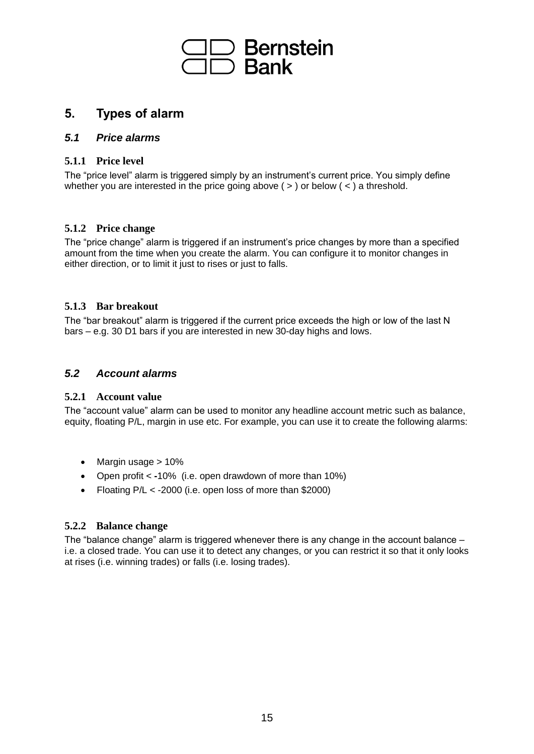

#### <span id="page-14-0"></span>**5. Types of alarm**

#### <span id="page-14-1"></span>*5.1 Price alarms*

#### <span id="page-14-2"></span>**5.1.1 Price level**

The "price level" alarm is triggered simply by an instrument's current price. You simply define whether you are interested in the price going above  $($  >  $)$  or below  $($  <  $)$  a threshold.

#### <span id="page-14-3"></span>**5.1.2 Price change**

The "price change" alarm is triggered if an instrument's price changes by more than a specified amount from the time when you create the alarm. You can configure it to monitor changes in either direction, or to limit it just to rises or just to falls.

#### <span id="page-14-4"></span>**5.1.3 Bar breakout**

The "bar breakout" alarm is triggered if the current price exceeds the high or low of the last N bars – e.g. 30 D1 bars if you are interested in new 30-day highs and lows.

#### <span id="page-14-5"></span>*5.2 Account alarms*

#### <span id="page-14-6"></span>**5.2.1 Account value**

The "account value" alarm can be used to monitor any headline account metric such as balance, equity, floating P/L, margin in use etc. For example, you can use it to create the following alarms:

- Margin usage > 10%
- Open profit < **-**10% (i.e. open drawdown of more than 10%)
- Floating P/L < -2000 (i.e. open loss of more than \$2000)

#### <span id="page-14-7"></span>**5.2.2 Balance change**

The "balance change" alarm is triggered whenever there is any change in the account balance – i.e. a closed trade. You can use it to detect any changes, or you can restrict it so that it only looks at rises (i.e. winning trades) or falls (i.e. losing trades).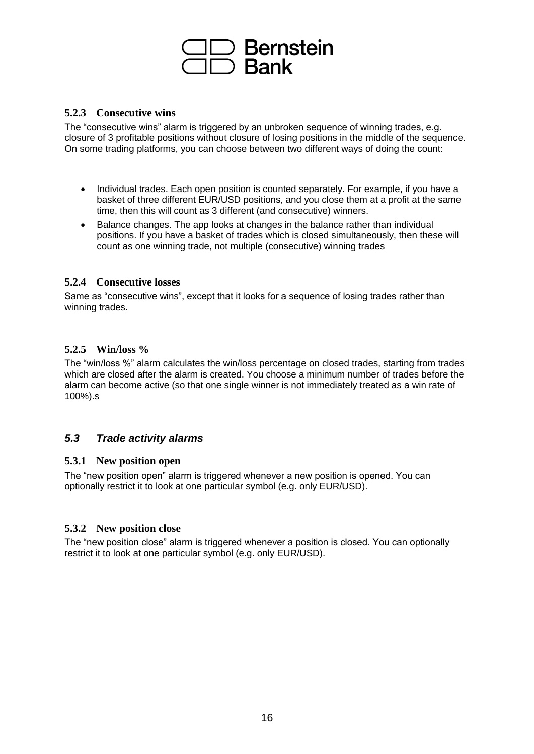## )Bernste<mark>in</mark><br>)Bank

#### <span id="page-15-0"></span>**5.2.3 Consecutive wins**

The "consecutive wins" alarm is triggered by an unbroken sequence of winning trades, e.g. closure of 3 profitable positions without closure of losing positions in the middle of the sequence. On some trading platforms, you can choose between two different ways of doing the count:

- Individual trades. Each open position is counted separately. For example, if you have a basket of three different EUR/USD positions, and you close them at a profit at the same time, then this will count as 3 different (and consecutive) winners.
- Balance changes. The app looks at changes in the balance rather than individual positions. If you have a basket of trades which is closed simultaneously, then these will count as one winning trade, not multiple (consecutive) winning trades

#### <span id="page-15-1"></span>**5.2.4 Consecutive losses**

Same as "consecutive wins", except that it looks for a sequence of losing trades rather than winning trades.

#### <span id="page-15-2"></span>**5.2.5 Win/loss %**

The "win/loss %" alarm calculates the win/loss percentage on closed trades, starting from trades which are closed after the alarm is created. You choose a minimum number of trades before the alarm can become active (so that one single winner is not immediately treated as a win rate of 100%).s

#### <span id="page-15-3"></span>*5.3 Trade activity alarms*

#### <span id="page-15-4"></span>**5.3.1 New position open**

The "new position open" alarm is triggered whenever a new position is opened. You can optionally restrict it to look at one particular symbol (e.g. only EUR/USD).

#### <span id="page-15-5"></span>**5.3.2 New position close**

The "new position close" alarm is triggered whenever a position is closed. You can optionally restrict it to look at one particular symbol (e.g. only EUR/USD).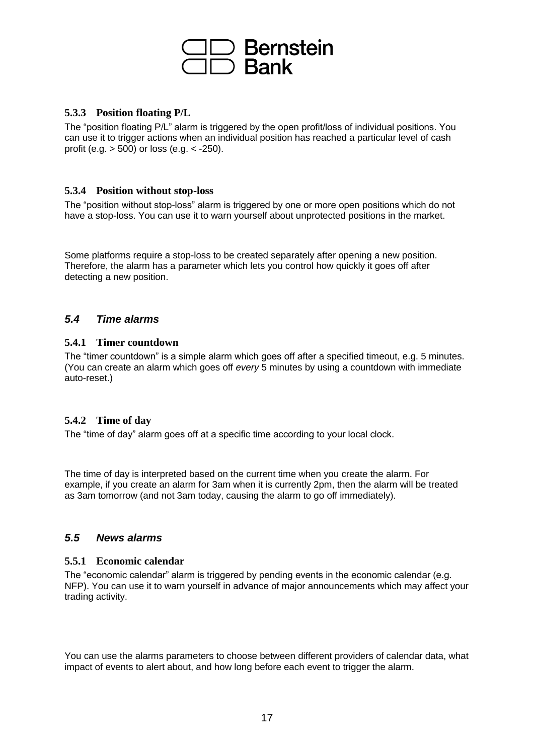### **Bernstein** Bank<br>Rank

#### <span id="page-16-0"></span>**5.3.3 Position floating P/L**

The "position floating P/L" alarm is triggered by the open profit/loss of individual positions. You can use it to trigger actions when an individual position has reached a particular level of cash profit (e.g. > 500) or loss (e.g. < -250).

#### <span id="page-16-1"></span>**5.3.4 Position without stop-loss**

The "position without stop-loss" alarm is triggered by one or more open positions which do not have a stop-loss. You can use it to warn yourself about unprotected positions in the market.

Some platforms require a stop-loss to be created separately after opening a new position. Therefore, the alarm has a parameter which lets you control how quickly it goes off after detecting a new position.

#### <span id="page-16-2"></span>*5.4 Time alarms*

#### <span id="page-16-3"></span>**5.4.1 Timer countdown**

The "timer countdown" is a simple alarm which goes off after a specified timeout, e.g. 5 minutes. (You can create an alarm which goes off *every* 5 minutes by using a countdown with immediate auto-reset.)

#### <span id="page-16-4"></span>**5.4.2 Time of day**

The "time of day" alarm goes off at a specific time according to your local clock.

The time of day is interpreted based on the current time when you create the alarm. For example, if you create an alarm for 3am when it is currently 2pm, then the alarm will be treated as 3am tomorrow (and not 3am today, causing the alarm to go off immediately).

#### <span id="page-16-5"></span>*5.5 News alarms*

#### <span id="page-16-6"></span>**5.5.1 Economic calendar**

The "economic calendar" alarm is triggered by pending events in the economic calendar (e.g. NFP). You can use it to warn yourself in advance of major announcements which may affect your trading activity.

You can use the alarms parameters to choose between different providers of calendar data, what impact of events to alert about, and how long before each event to trigger the alarm.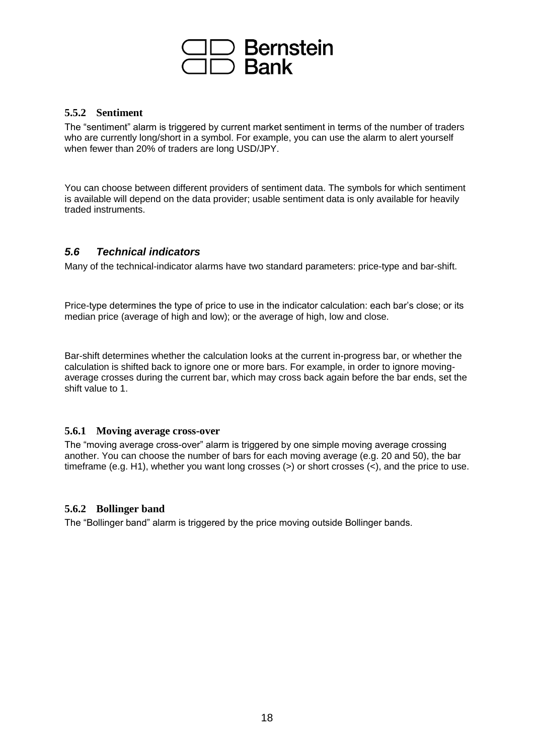### **Bernstein Bank**

#### <span id="page-17-0"></span>**5.5.2 Sentiment**

The "sentiment" alarm is triggered by current market sentiment in terms of the number of traders who are currently long/short in a symbol. For example, you can use the alarm to alert yourself when fewer than 20% of traders are long USD/JPY.

You can choose between different providers of sentiment data. The symbols for which sentiment is available will depend on the data provider; usable sentiment data is only available for heavily traded instruments.

#### <span id="page-17-1"></span>*5.6 Technical indicators*

Many of the technical-indicator alarms have two standard parameters: price-type and bar-shift.

Price-type determines the type of price to use in the indicator calculation: each bar's close; or its median price (average of high and low); or the average of high, low and close.

Bar-shift determines whether the calculation looks at the current in-progress bar, or whether the calculation is shifted back to ignore one or more bars. For example, in order to ignore movingaverage crosses during the current bar, which may cross back again before the bar ends, set the shift value to 1.

#### <span id="page-17-2"></span>**5.6.1 Moving average cross-over**

The "moving average cross-over" alarm is triggered by one simple moving average crossing another. You can choose the number of bars for each moving average (e.g. 20 and 50), the bar timeframe (e.g. H1), whether you want long crosses  $(>)$  or short crosses  $(>)$ , and the price to use.

#### <span id="page-17-3"></span>**5.6.2 Bollinger band**

The "Bollinger band" alarm is triggered by the price moving outside Bollinger bands.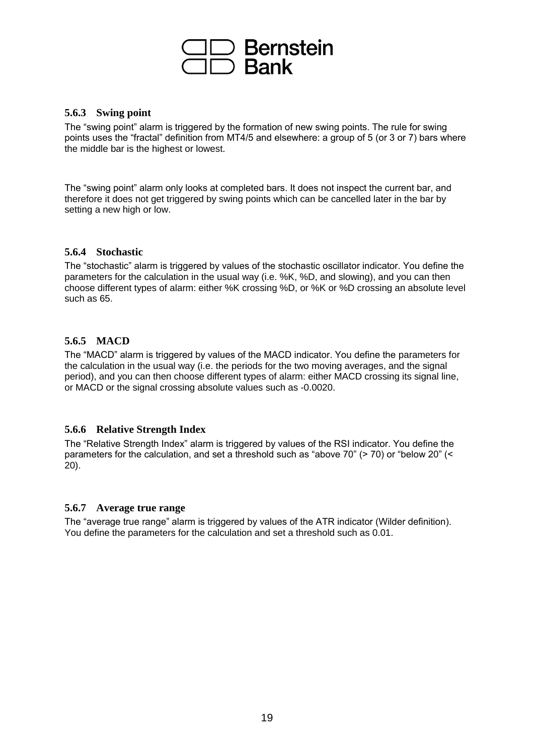### **Bernstein Bank**

#### <span id="page-18-0"></span>**5.6.3 Swing point**

The "swing point" alarm is triggered by the formation of new swing points. The rule for swing points uses the "fractal" definition from MT4/5 and elsewhere: a group of 5 (or 3 or 7) bars where the middle bar is the highest or lowest.

The "swing point" alarm only looks at completed bars. It does not inspect the current bar, and therefore it does not get triggered by swing points which can be cancelled later in the bar by setting a new high or low.

#### <span id="page-18-1"></span>**5.6.4 Stochastic**

The "stochastic" alarm is triggered by values of the stochastic oscillator indicator. You define the parameters for the calculation in the usual way (i.e. %K, %D, and slowing), and you can then choose different types of alarm: either %K crossing %D, or %K or %D crossing an absolute level such as 65.

#### <span id="page-18-2"></span>**5.6.5 MACD**

The "MACD" alarm is triggered by values of the MACD indicator. You define the parameters for the calculation in the usual way (i.e. the periods for the two moving averages, and the signal period), and you can then choose different types of alarm: either MACD crossing its signal line, or MACD or the signal crossing absolute values such as -0.0020.

#### <span id="page-18-3"></span>**5.6.6 Relative Strength Index**

The "Relative Strength Index" alarm is triggered by values of the RSI indicator. You define the parameters for the calculation, and set a threshold such as "above 70" (> 70) or "below 20" (< 20).

#### <span id="page-18-4"></span>**5.6.7 Average true range**

The "average true range" alarm is triggered by values of the ATR indicator (Wilder definition). You define the parameters for the calculation and set a threshold such as 0.01.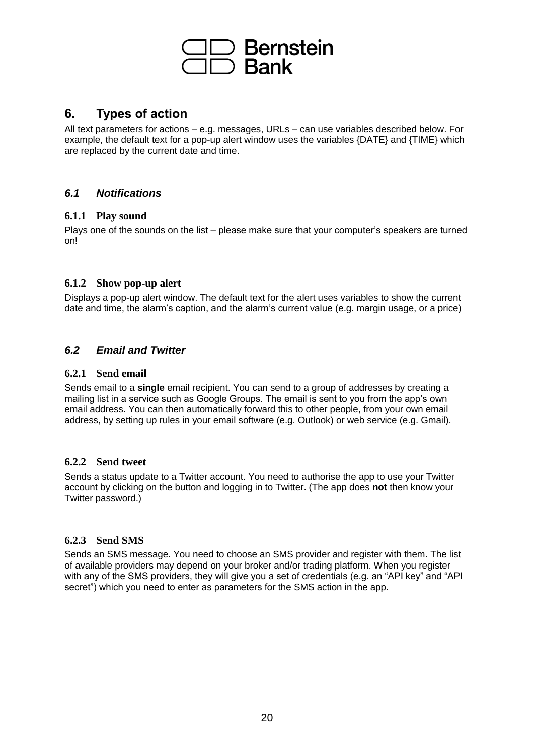

#### <span id="page-19-0"></span>**6. Types of action**

All text parameters for actions – e.g. messages, URLs – can use variables described below. For example, the default text for a pop-up alert window uses the variables {DATE} and {TIME} which are replaced by the current date and time.

#### <span id="page-19-1"></span>*6.1 Notifications*

#### <span id="page-19-2"></span>**6.1.1 Play sound**

Plays one of the sounds on the list – please make sure that your computer's speakers are turned on!

#### <span id="page-19-3"></span>**6.1.2 Show pop-up alert**

Displays a pop-up alert window. The default text for the alert uses variables to show the current date and time, the alarm's caption, and the alarm's current value (e.g. margin usage, or a price)

#### <span id="page-19-4"></span>*6.2 Email and Twitter*

#### <span id="page-19-5"></span>**6.2.1 Send email**

Sends email to a **single** email recipient. You can send to a group of addresses by creating a mailing list in a service such as Google Groups. The email is sent to you from the app's own email address. You can then automatically forward this to other people, from your own email address, by setting up rules in your email software (e.g. Outlook) or web service (e.g. Gmail).

#### <span id="page-19-6"></span>**6.2.2 Send tweet**

Sends a status update to a Twitter account. You need to authorise the app to use your Twitter account by clicking on the button and logging in to Twitter. (The app does **not** then know your Twitter password.)

#### <span id="page-19-7"></span>**6.2.3 Send SMS**

Sends an SMS message. You need to choose an SMS provider and register with them. The list of available providers may depend on your broker and/or trading platform. When you register with any of the SMS providers, they will give you a set of credentials (e.g. an "API key" and "API secret") which you need to enter as parameters for the SMS action in the app.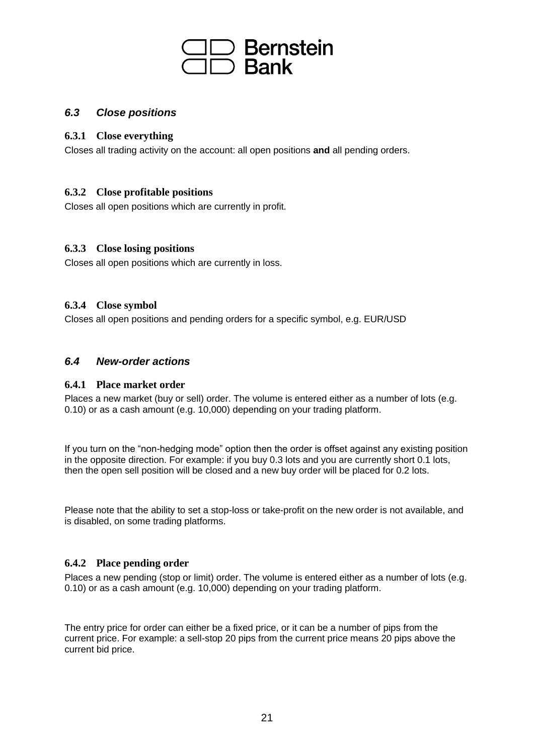

#### <span id="page-20-0"></span>*6.3 Close positions*

#### <span id="page-20-1"></span>**6.3.1 Close everything**

Closes all trading activity on the account: all open positions **and** all pending orders.

#### <span id="page-20-2"></span>**6.3.2 Close profitable positions**

Closes all open positions which are currently in profit.

#### <span id="page-20-3"></span>**6.3.3 Close losing positions**

Closes all open positions which are currently in loss.

#### <span id="page-20-4"></span>**6.3.4 Close symbol**

Closes all open positions and pending orders for a specific symbol, e.g. EUR/USD

#### <span id="page-20-5"></span>*6.4 New-order actions*

#### <span id="page-20-6"></span>**6.4.1 Place market order**

Places a new market (buy or sell) order. The volume is entered either as a number of lots (e.g. 0.10) or as a cash amount (e.g. 10,000) depending on your trading platform.

If you turn on the "non-hedging mode" option then the order is offset against any existing position in the opposite direction. For example: if you buy 0.3 lots and you are currently short 0.1 lots, then the open sell position will be closed and a new buy order will be placed for 0.2 lots.

Please note that the ability to set a stop-loss or take-profit on the new order is not available, and is disabled, on some trading platforms.

#### <span id="page-20-7"></span>**6.4.2 Place pending order**

Places a new pending (stop or limit) order. The volume is entered either as a number of lots (e.g. 0.10) or as a cash amount (e.g. 10,000) depending on your trading platform.

The entry price for order can either be a fixed price, or it can be a number of pips from the current price. For example: a sell-stop 20 pips from the current price means 20 pips above the current bid price.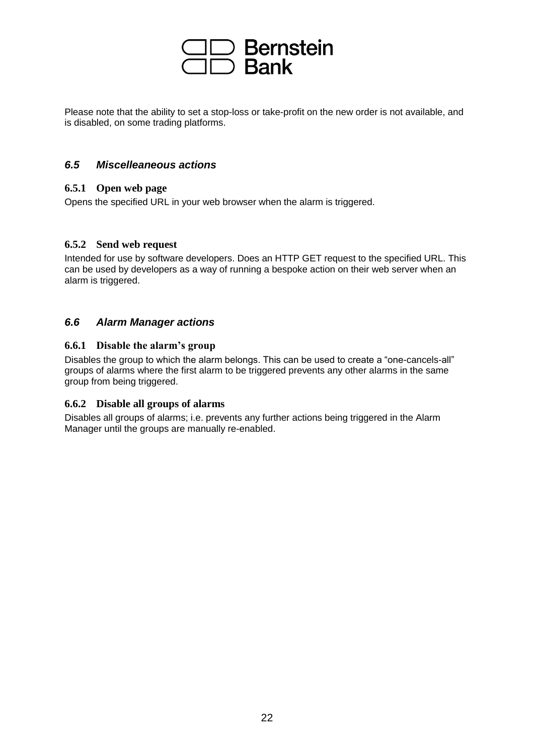## Bernstein<br>Bank

Please note that the ability to set a stop-loss or take-profit on the new order is not available, and is disabled, on some trading platforms.

#### <span id="page-21-0"></span>*6.5 Miscelleaneous actions*

#### <span id="page-21-1"></span>**6.5.1 Open web page**

Opens the specified URL in your web browser when the alarm is triggered.

#### <span id="page-21-2"></span>**6.5.2 Send web request**

Intended for use by software developers. Does an HTTP GET request to the specified URL. This can be used by developers as a way of running a bespoke action on their web server when an alarm is triggered.

#### <span id="page-21-3"></span>*6.6 Alarm Manager actions*

#### <span id="page-21-4"></span>**6.6.1 Disable the alarm's group**

Disables the group to which the alarm belongs. This can be used to create a "one-cancels-all" groups of alarms where the first alarm to be triggered prevents any other alarms in the same group from being triggered.

#### <span id="page-21-5"></span>**6.6.2 Disable all groups of alarms**

Disables all groups of alarms; i.e. prevents any further actions being triggered in the Alarm Manager until the groups are manually re-enabled.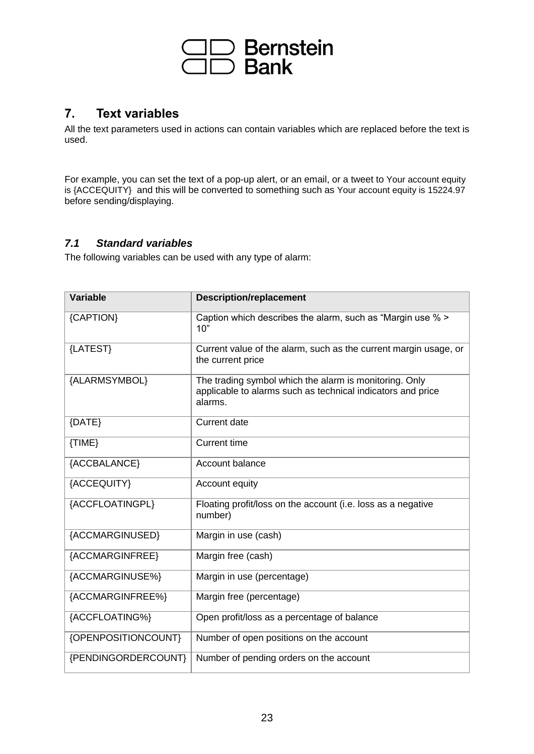

#### <span id="page-22-0"></span>**7. Text variables**

All the text parameters used in actions can contain variables which are replaced before the text is used.

For example, you can set the text of a pop-up alert, or an email, or a tweet to Your account equity is {ACCEQUITY} and this will be converted to something such as Your account equity is 15224.97 before sending/displaying.

#### <span id="page-22-1"></span>*7.1 Standard variables*

The following variables can be used with any type of alarm:

| <b>Variable</b>     | <b>Description/replacement</b>                                                                                                   |
|---------------------|----------------------------------------------------------------------------------------------------------------------------------|
| {CAPTION}           | Caption which describes the alarm, such as "Margin use % ><br>10"                                                                |
| {LATEST}            | Current value of the alarm, such as the current margin usage, or<br>the current price                                            |
| {ALARMSYMBOL}       | The trading symbol which the alarm is monitoring. Only<br>applicable to alarms such as technical indicators and price<br>alarms. |
| {DATE}              | <b>Current date</b>                                                                                                              |
| {TIME}              | <b>Current time</b>                                                                                                              |
| {ACCBALANCE}        | Account balance                                                                                                                  |
| {ACCEQUITY}         | Account equity                                                                                                                   |
| {ACCFLOATINGPL}     | Floating profit/loss on the account (i.e. loss as a negative<br>number)                                                          |
| {ACCMARGINUSED}     | Margin in use (cash)                                                                                                             |
| {ACCMARGINFREE}     | Margin free (cash)                                                                                                               |
| {ACCMARGINUSE%}     | Margin in use (percentage)                                                                                                       |
| {ACCMARGINFREE%}    | Margin free (percentage)                                                                                                         |
| {ACCFLOATING%}      | Open profit/loss as a percentage of balance                                                                                      |
| {OPENPOSITIONCOUNT} | Number of open positions on the account                                                                                          |
| {PENDINGORDERCOUNT} | Number of pending orders on the account                                                                                          |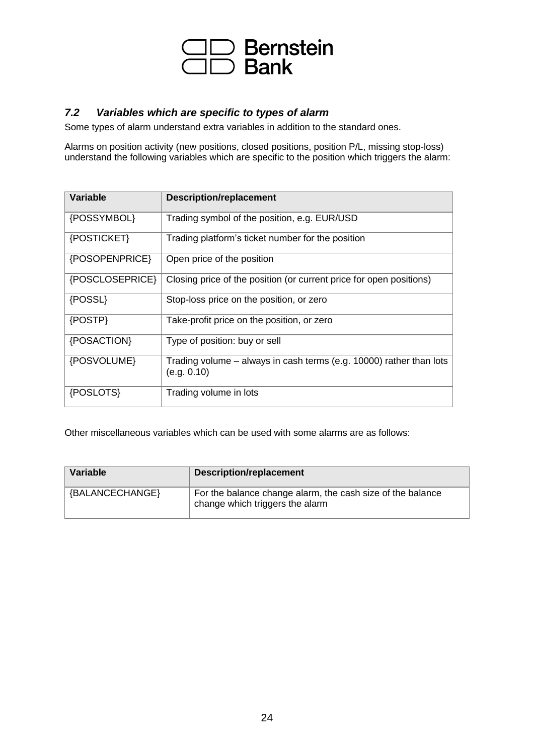

#### <span id="page-23-0"></span>*7.2 Variables which are specific to types of alarm*

Some types of alarm understand extra variables in addition to the standard ones.

Alarms on position activity (new positions, closed positions, position P/L, missing stop-loss) understand the following variables which are specific to the position which triggers the alarm:

| <b>Variable</b> | <b>Description/replacement</b>                                                     |
|-----------------|------------------------------------------------------------------------------------|
| {POSSYMBOL}     | Trading symbol of the position, e.g. EUR/USD                                       |
| {POSTICKET}     | Trading platform's ticket number for the position                                  |
| {POSOPENPRICE}  | Open price of the position                                                         |
| {POSCLOSEPRICE} | Closing price of the position (or current price for open positions)                |
| {POSSL}         | Stop-loss price on the position, or zero                                           |
| {POSTP}         | Take-profit price on the position, or zero                                         |
| {POSACTION}     | Type of position: buy or sell                                                      |
| {POSVOLUME}     | Trading volume – always in cash terms (e.g. 10000) rather than lots<br>(e.g. 0.10) |
| {POSLOTS}       | Trading volume in lots                                                             |

Other miscellaneous variables which can be used with some alarms are as follows:

| <b>Variable</b> | <b>Description/replacement</b>                                                                |
|-----------------|-----------------------------------------------------------------------------------------------|
| {BALANCECHANGE} | For the balance change alarm, the cash size of the balance<br>change which triggers the alarm |